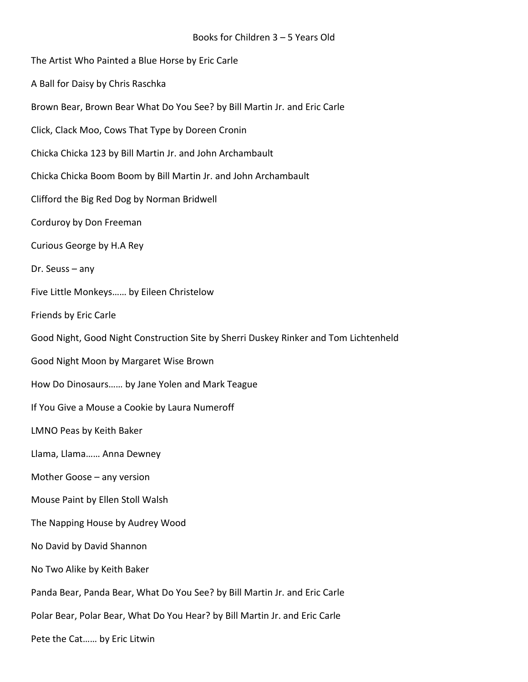| The Artist Who Painted a Blue Horse by Eric Carle                                    |
|--------------------------------------------------------------------------------------|
| A Ball for Daisy by Chris Raschka                                                    |
| Brown Bear, Brown Bear What Do You See? by Bill Martin Jr. and Eric Carle            |
| Click, Clack Moo, Cows That Type by Doreen Cronin                                    |
| Chicka Chicka 123 by Bill Martin Jr. and John Archambault                            |
| Chicka Chicka Boom Boom by Bill Martin Jr. and John Archambault                      |
| Clifford the Big Red Dog by Norman Bridwell                                          |
| Corduroy by Don Freeman                                                              |
| Curious George by H.A Rey                                                            |
| Dr. Seuss $-$ any                                                                    |
| Five Little Monkeys by Eileen Christelow                                             |
| Friends by Eric Carle                                                                |
| Good Night, Good Night Construction Site by Sherri Duskey Rinker and Tom Lichtenheld |
| Good Night Moon by Margaret Wise Brown                                               |
| How Do Dinosaurs by Jane Yolen and Mark Teague                                       |
| If You Give a Mouse a Cookie by Laura Numeroff                                       |
| LMNO Peas by Keith Baker                                                             |
| Llama, Llama Anna Dewney                                                             |
| Mother Goose - any version                                                           |
| Mouse Paint by Ellen Stoll Walsh                                                     |
| The Napping House by Audrey Wood                                                     |
| No David by David Shannon                                                            |
| No Two Alike by Keith Baker                                                          |
| Panda Bear, Panda Bear, What Do You See? by Bill Martin Jr. and Eric Carle           |
| Polar Bear, Polar Bear, What Do You Hear? by Bill Martin Jr. and Eric Carle          |
| Pete the Cat by Eric Litwin                                                          |